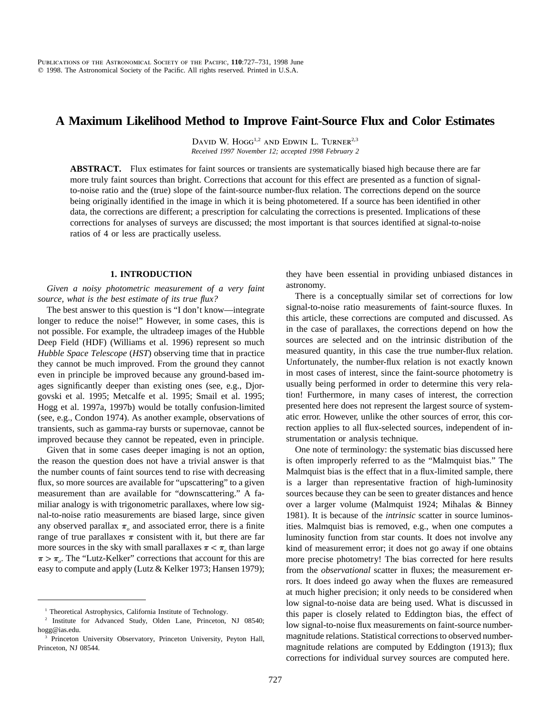# **A Maximum Likelihood Method to Improve Faint-Source Flux and Color Estimates**

DAVID W. HOGG<sup>1,2</sup> AND EDWIN L. TURNER<sup>2,3</sup> *Received 1997 November 12; accepted 1998 February 2*

ABSTRACT. Flux estimates for faint sources or transients are systematically biased high because there are far more truly faint sources than bright. Corrections that account for this effect are presented as a function of signalto-noise ratio and the (true) slope of the faint-source number-flux relation. The corrections depend on the source being originally identified in the image in which it is being photometered. If a source has been identified in other data, the corrections are different; a prescription for calculating the corrections is presented. Implications of these corrections for analyses of surveys are discussed; the most important is that sources identified at signal-to-noise ratios of 4 or less are practically useless.

#### **1. INTRODUCTION**

*Given a noisy photometric measurement of a very faint source, what is the best estimate of its true flux?*

The best answer to this question is "I don't know—integrate longer to reduce the noise!" However, in some cases, this is not possible. For example, the ultradeep images of the Hubble Deep Field (HDF) (Williams et al. 1996) represent so much *Hubble Space Telescope* (*HST*) observing time that in practice they cannot be much improved. From the ground they cannot even in principle be improved because any ground-based images significantly deeper than existing ones (see, e.g., Djorgovski et al. 1995; Metcalfe et al. 1995; Smail et al. 1995; Hogg et al. 1997a, 1997b) would be totally confusion-limited (see, e.g., Condon 1974). As another example, observations of transients, such as gamma-ray bursts or supernovae, cannot be improved because they cannot be repeated, even in principle.

Given that in some cases deeper imaging is not an option, the reason the question does not have a trivial answer is that the number counts of faint sources tend to rise with decreasing flux, so more sources are available for "upscattering" to a given measurement than are available for "downscattering." A familiar analogy is with trigonometric parallaxes, where low signal-to-noise ratio measurements are biased large, since given any observed parallax  $\pi$ <sub>o</sub> and associated error, there is a finite range of true parallaxes  $\pi$  consistent with it, but there are far more sources in the sky with small parallaxes  $\pi < \pi$ <sub>o</sub> than large  $\pi > \pi_o$ . The "Lutz-Kelker" corrections that account for this are easy to compute and apply (Lutz & Kelker 1973; Hansen 1979); they have been essential in providing unbiased distances in astronomy.

There is a conceptually similar set of corrections for low signal-to-noise ratio measurements of faint-source fluxes. In this article, these corrections are computed and discussed. As in the case of parallaxes, the corrections depend on how the sources are selected and on the intrinsic distribution of the measured quantity, in this case the true number-flux relation. Unfortunately, the number-flux relation is not exactly known in most cases of interest, since the faint-source photometry is usually being performed in order to determine this very relation! Furthermore, in many cases of interest, the correction presented here does not represent the largest source of systematic error. However, unlike the other sources of error, this correction applies to all flux-selected sources, independent of instrumentation or analysis technique.

One note of terminology: the systematic bias discussed here is often improperly referred to as the "Malmquist bias." The Malmquist bias is the effect that in a flux-limited sample, there is a larger than representative fraction of high-luminosity sources because they can be seen to greater distances and hence over a larger volume (Malmquist 1924; Mihalas & Binney 1981). It is because of the *intrinsic* scatter in source luminosities. Malmquist bias is removed, e.g., when one computes a luminosity function from star counts. It does not involve any kind of measurement error; it does not go away if one obtains more precise photometry! The bias corrected for here results from the *observational* scatter in fluxes; the measurement errors. It does indeed go away when the fluxes are remeasured at much higher precision; it only needs to be considered when low signal-to-noise data are being used. What is discussed in this paper is closely related to Eddington bias, the effect of low signal-to-noise flux measurements on faint-source numbermagnitude relations. Statistical corrections to observed numbermagnitude relations are computed by Eddington (1913); flux corrections for individual survey sources are computed here.

<sup>&</sup>lt;sup>1</sup> Theoretical Astrophysics, California Institute of Technology.

<sup>&</sup>lt;sup>2</sup> Institute for Advanced Study, Olden Lane, Princeton, NJ 08540; hogg@ias.edu.

Princeton University Observatory, Princeton University, Peyton Hall, Princeton, NJ 08544.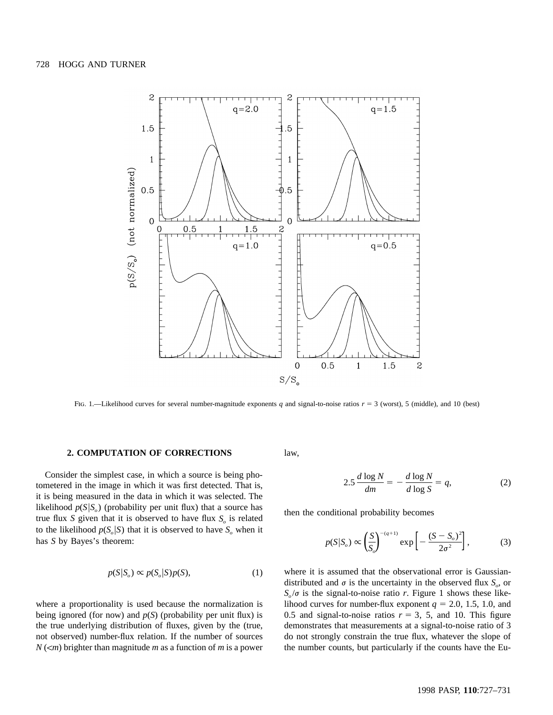

Fig. 1.—Likelihood curves for several number-magnitude exponents  $q$  and signal-to-noise ratios  $r = 3$  (worst), 5 (middle), and 10 (best)

## **2. COMPUTATION OF CORRECTIONS**

Consider the simplest case, in which a source is being photometered in the image in which it was first detected. That is, it is being measured in the data in which it was selected. The likelihood  $p(S|S_0)$  (probability per unit flux) that a source has true flux *S* given that it is observed to have flux  $S<sub>o</sub>$  is related to the likelihood  $p(S_o|S)$  that it is observed to have  $S_o$  when it has *S* by Bayes's theorem:

$$
p(S|S_o) \propto p(S_o|S)p(S),\tag{1}
$$

where a proportionality is used because the normalization is being ignored (for now) and  $p(S)$  (probability per unit flux) is the true underlying distribution of fluxes, given by the (true, not observed) number-flux relation. If the number of sources  $N(\leq m)$  brighter than magnitude *m* as a function of *m* is a power law,

$$
2.5 \frac{d \log N}{dm} = -\frac{d \log N}{d \log S} = q,\tag{2}
$$

then the conditional probability becomes

$$
p(S|S_o) \propto \left(\frac{S}{S_o}\right)^{-(q+1)} \exp\left[-\frac{(S-S_o)^2}{2\sigma^2}\right],
$$
 (3)

where it is assumed that the observational error is Gaussiandistributed and  $\sigma$  is the uncertainty in the observed flux  $S_{\rho}$ , or  $S_{o}/\sigma$  is the signal-to-noise ratio *r*. Figure 1 shows these likelihood curves for number-flux exponent  $q = 2.0, 1.5, 1.0,$  and 0.5 and signal-to-noise ratios  $r = 3$ , 5, and 10. This figure demonstrates that measurements at a signal-to-noise ratio of 3 do not strongly constrain the true flux, whatever the slope of the number counts, but particularly if the counts have the Eu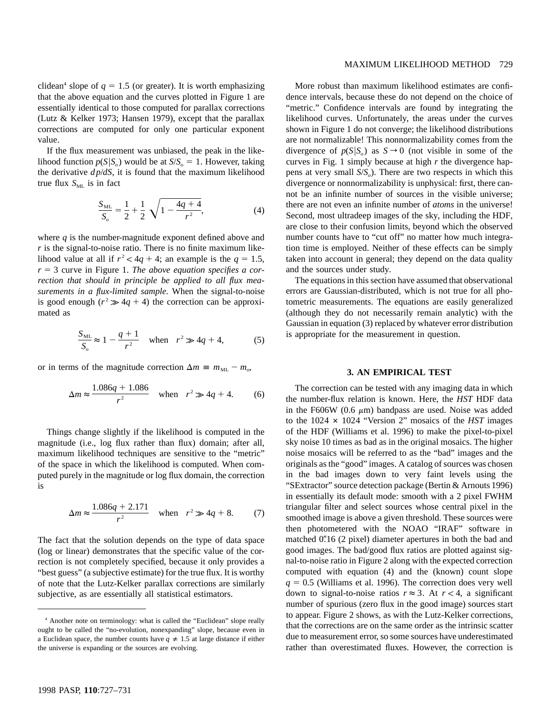clidean<sup>4</sup> slope of  $q = 1.5$  (or greater). It is worth emphasizing that the above equation and the curves plotted in Figure 1 are essentially identical to those computed for parallax corrections (Lutz & Kelker 1973; Hansen 1979), except that the parallax corrections are computed for only one particular exponent value.

If the flux measurement was unbiased, the peak in the likelihood function  $p(S|S_0)$  would be at  $S/S_0 = 1$ . However, taking the derivative *dp*/*dS*, it is found that the maximum likelihood true flux  $S_{ML}$  is in fact

$$
\frac{S_{\text{ML}}}{S_o} = \frac{1}{2} + \frac{1}{2} \sqrt{1 - \frac{4q + 4}{r^2}},
$$
(4)

where *q* is the number-magnitude exponent defined above and *r* is the signal-to-noise ratio. There is no finite maximum likelihood value at all if  $r^2 < 4q + 4$ ; an example is the  $q = 1.5$ ,  $r = 3$  curve in Figure 1. *The above equation specifies a correction that should in principle be applied to all flux measurements in a flux-limited sample.* When the signal-to-noise is good enough  $(r^2 \gg 4q + 4)$  the correction can be approximated as

$$
\frac{S_{ML}}{S_o} \approx 1 - \frac{q+1}{r^2} \quad \text{when} \quad r^2 \gg 4q+4,\tag{5}
$$

or in terms of the magnitude correction  $\Delta m \equiv m_{ML} - m_o$ ,

$$
\Delta m \approx \frac{1.086q + 1.086}{r^2} \quad \text{when} \quad r^2 \gg 4q + 4. \tag{6}
$$

Things change slightly if the likelihood is computed in the magnitude (i.e., log flux rather than flux) domain; after all, maximum likelihood techniques are sensitive to the "metric" of the space in which the likelihood is computed. When computed purely in the magnitude or log flux domain, the correction is

$$
\Delta m \approx \frac{1.086q + 2.171}{r^2} \quad \text{when} \quad r^2 \gg 4q + 8. \tag{7}
$$

The fact that the solution depends on the type of data space (log or linear) demonstrates that the specific value of the correction is not completely specified, because it only provides a "best guess" (a subjective estimate) for the true flux. It is worthy of note that the Lutz-Kelker parallax corrections are similarly subjective, as are essentially all statistical estimators.

# MAXIMUM LIKELIHOOD METHOD 729

More robust than maximum likelihood estimates are confidence intervals, because these do not depend on the choice of "metric." Confidence intervals are found by integrating the likelihood curves. Unfortunately, the areas under the curves shown in Figure 1 do not converge; the likelihood distributions are not normalizable! This nonnormalizability comes from the divergence of  $p(S|S_0)$  as  $S \to 0$  (not visible in some of the curves in Fig. 1 simply because at high *r* the divergence happens at very small *S*/*S* ). There are two respects in which this *<sup>o</sup>* divergence or nonnormalizability is unphysical: first, there cannot be an infinite number of sources in the visible universe; there are not even an infinite number of *atoms* in the universe! Second, most ultradeep images of the sky, including the HDF, are close to their confusion limits, beyond which the observed number counts have to "cut off" no matter how much integration time is employed. Neither of these effects can be simply taken into account in general; they depend on the data quality and the sources under study.

The equations in this section have assumed that observational errors are Gaussian-distributed, which is not true for all photometric measurements. The equations are easily generalized (although they do not necessarily remain analytic) with the Gaussian in equation (3) replaced by whatever error distribution is appropriate for the measurement in question.

## **3. AN EMPIRICAL TEST**

The correction can be tested with any imaging data in which the number-flux relation is known. Here, the *HST* HDF data in the F606W (0.6  $\mu$ m) bandpass are used. Noise was added to the 1024  $\times$  1024 "Version 2" mosaics of the *HST* images of the HDF (Williams et al. 1996) to make the pixel-to-pixel sky noise 10 times as bad as in the original mosaics. The higher noise mosaics will be referred to as the "bad" images and the originals as the "good" images. A catalog of sources was chosen in the bad images down to very faint levels using the "SExtractor" source detection package (Bertin & Arnouts 1996) in essentially its default mode: smooth with a 2 pixel FWHM triangular filter and select sources whose central pixel in the smoothed image is above a given threshold. These sources were then photometered with the NOAO "IRAF" software in matched  $0$ ." $16$  (2 pixel) diameter apertures in both the bad and good images. The bad/good flux ratios are plotted against signal-to-noise ratio in Figure 2 along with the expected correction computed with equation (4) and the (known) count slope  $q = 0.5$  (Williams et al. 1996). The correction does very well down to signal-to-noise ratios  $r \approx 3$ . At  $r < 4$ , a significant number of spurious (zero flux in the good image) sources start to appear. Figure 2 shows, as with the Lutz-Kelker corrections, that the corrections are on the same order as the intrinsic scatter due to measurement error, so some sources have underestimated rather than overestimated fluxes. However, the correction is

<sup>4</sup> Another note on terminology: what is called the "Euclidean" slope really ought to be called the "no-evolution, nonexpanding" slope, because even in a Euclidean space, the number counts have  $q \neq 1.5$  at large distance if either the universe is expanding or the sources are evolving.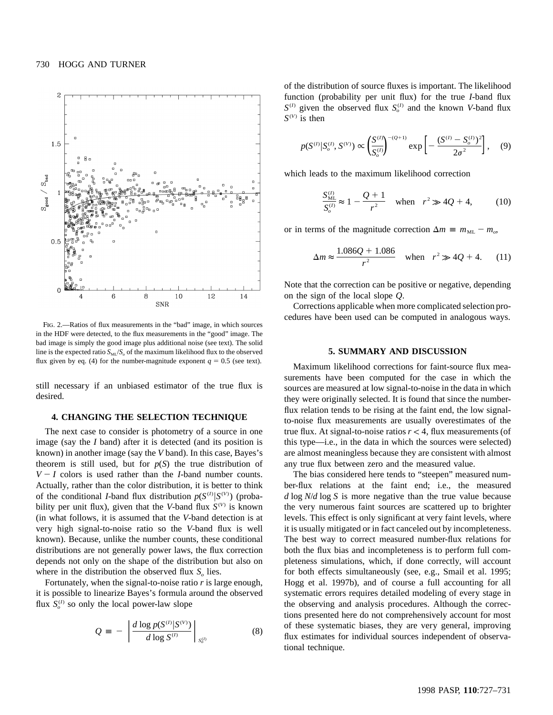

Fig. 2.—Ratios of flux measurements in the "bad" image, in which sources in the HDF were detected, to the flux measurements in the "good" image. The bad image is simply the good image plus additional noise (see text). The solid line is the expected ratio  $S_{ML}/S_o$  of the maximum likelihood flux to the observed flux given by eq. (4) for the number-magnitude exponent  $q = 0.5$  (see text).

still necessary if an unbiased estimator of the true flux is desired.

### **4. CHANGING THE SELECTION TECHNIQUE**

The next case to consider is photometry of a source in one image (say the *I* band) after it is detected (and its position is known) in another image (say the *V* band). In this case, Bayes's theorem is still used, but for  $p(S)$  the true distribution of  $V-I$  colors is used rather than the *I*-band number counts. Actually, rather than the color distribution, it is better to think of the conditional *I*-band flux distribution  $p(S^{(I)} | S^{(V)})$  (probability per unit flux), given that the *V*-band flux  $S^{(V)}$  is known (in what follows, it is assumed that the *V*-band detection is at very high signal-to-noise ratio so the *V*-band flux is well known). Because, unlike the number counts, these conditional distributions are not generally power laws, the flux correction depends not only on the shape of the distribution but also on where in the distribution the observed flux  $S<sub>a</sub>$  lies.

Fortunately, when the signal-to-noise ratio *r* is large enough, it is possible to linearize Bayes's formula around the observed flux  $S_0^{(I)}$  so only the local power-law slope

$$
Q = -\left| \frac{d \log p(S^{(l)} | S^{(V)})}{d \log S^{(l)}} \right|_{S_0^{(l)}} \tag{8}
$$

of the distribution of source fluxes is important. The likelihood function (probability per unit flux) for the true *I*-band flux  $S^{(I)}$  given the observed flux  $S^{(I)}_{0}$  and the known *V*-band flux  $S^{(V)}$  is then

$$
p(S^{(I)}|S_o^{(I)}, S^{(V)}) \propto \left(\frac{S^{(I)}}{S_o^{(I)}}\right)^{-(Q+1)} \exp\left[-\frac{(S^{(I)} - S_o^{(I)})^2}{2\sigma^2}\right],\quad (9)
$$

which leads to the maximum likelihood correction

$$
\frac{S_{ML}^{(l)}}{S_o^{(l)}} \approx 1 - \frac{Q+1}{r^2} \quad \text{when} \quad r^2 \gg 4Q+4,\tag{10}
$$

or in terms of the magnitude correction  $\Delta m \equiv m_{\text{ML}} - m_o$ ,

$$
\Delta m \approx \frac{1.086Q + 1.086}{r^2} \quad \text{when} \quad r^2 \gg 4Q + 4. \tag{11}
$$

Note that the correction can be positive or negative, depending on the sign of the local slope *Q*.

Corrections applicable when more complicated selection procedures have been used can be computed in analogous ways.

#### **5. SUMMARY AND DISCUSSION**

Maximum likelihood corrections for faint-source flux measurements have been computed for the case in which the sources are measured at low signal-to-noise in the data in which they were originally selected. It is found that since the numberflux relation tends to be rising at the faint end, the low signalto-noise flux measurements are usually overestimates of the true flux. At signal-to-noise ratios  $r < 4$ , flux measurements (of this type—i.e., in the data in which the sources were selected) are almost meaningless because they are consistent with almost any true flux between zero and the measured value.

The bias considered here tends to "steepen" measured number-flux relations at the faint end; i.e., the measured *d* log *N*/*d* log *S* is more negative than the true value because the very numerous faint sources are scattered up to brighter levels. This effect is only significant at very faint levels, where it is usually mitigated or in fact canceled out by incompleteness. The best way to correct measured number-flux relations for both the flux bias and incompleteness is to perform full completeness simulations, which, if done correctly, will account for both effects simultaneously (see, e.g., Smail et al. 1995; Hogg et al. 1997b), and of course a full accounting for all systematic errors requires detailed modeling of every stage in the observing and analysis procedures. Although the corrections presented here do not comprehensively account for most of these systematic biases, they are very general, improving flux estimates for individual sources independent of observational technique.